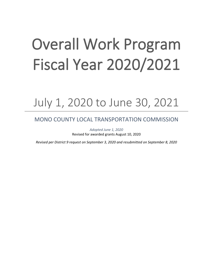# Overall Work Program Fiscal Year 2020/2021

## July 1, 2020 to June 30, 2021

## MONO COUNTY LOCAL TRANSPORTATION COMMISSION

*Adopted June 1, 2020* Revised for awarded grants August 10, 2020

*Revised per District 9 request on September 3, 2020 and resubmitted on September 8, 2020*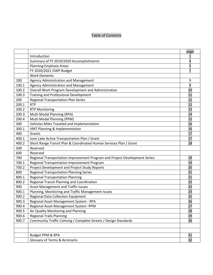## Table of Contents

|       |                                                                            | page           |
|-------|----------------------------------------------------------------------------|----------------|
|       | Introduction                                                               | 1              |
|       | Summary of FY 2019/2020 Accomplishments                                    | 4              |
|       | <b>Planning Emphasis Areas</b>                                             | 5              |
|       | FY 2020/2021 OWP Budget                                                    | $\overline{7}$ |
|       | <b>Work Elements</b>                                                       |                |
| 100   | Agency Administration and Management                                       | 9              |
| 100.1 | Agency Administration and Management                                       | 9              |
| 100.2 | Overall Work Program Development and Administration                        | 10             |
| 100.3 | <b>Training and Professional Development</b>                               | 11             |
| 200   | <b>Regional Transportation Plan Series</b>                                 | 12             |
| 200.1 | <b>RTP</b>                                                                 | 12             |
| 200.2 | <b>RTP Monitoring</b>                                                      | 13             |
| 200.3 | Multi Modal Planning (RPA)                                                 | 14             |
| 200.4 | Multi Modal Planning (PPM)                                                 | 15             |
| 300   | Vehicles Miles Traveled and Implementation                                 | 16             |
| 300.1 | <b>VMT Planning &amp; Implementation</b>                                   | 16             |
| 400   | Grants                                                                     | 17             |
| 400.1 | June Lake Active Transportation Plan / Grant                               | 17             |
| 400.2 | Short Range Transit Plan & Coordinated Human Services Plan / Grant         | 18             |
| 500   | Reserved                                                                   |                |
| 600   | Reserved                                                                   |                |
| 700   | Regional Transportation Improvement Program and Project Development Series | 19             |
| 700.1 | Regional Transportation Improvement Program                                | 19             |
| 700.2 | Project Development and Project Study Reports                              | 20             |
| 800   | <b>Regional Transportation Planning Series</b>                             | 21             |
| 800.1 | <b>Regional Transportation Planning</b>                                    | 21             |
| 800.2 | Regional Transit Planning and Coordination                                 | 22             |
| 900   | <b>Asset Management and Traffic Issues</b>                                 | 23             |
| 900.1 | Planning, Monitoring and Traffic Management Issues                         | 23             |
| 900.2 | <b>Regional Data Collection Equipment</b>                                  | 25             |
| 900.3 | Regional Asset Management System - RPA                                     | 26             |
| 900.4 | Regional Asset Management System -PPM                                      | 27             |
| 900.5 | Air Quality Monitoring and Planning                                        | 28             |
| 900.6 | <b>Regional Trails Planning</b>                                            | 29             |
| 900.7 | Community Traffic Calming / Complete Streets / Design Standards            | 30             |
|       |                                                                            |                |
|       |                                                                            |                |
|       | Budget PPM & RPA                                                           | 31             |
|       | <b>Glossary of Terms &amp; Acronyms</b>                                    | 32             |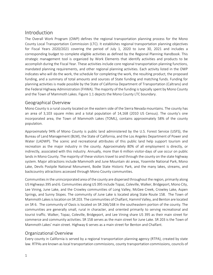## Introduction

The Overall Work Program (OWP) defines the regional transportation planning process for the Mono County Local Transportation Commission (LTC). It establishes regional transportation planning objectives for Fiscal Years 2020/2021 covering the period of July 1, 2020 to June 30, 2021 and includes a corresponding budget to complete eligible activities as defined by the Regional Planning Handbook. This strategic management tool is organized by Work Elements that identify activities and products to be accomplish during the Fiscal Year. These activities include core regional transportation planning functions, mandated planning requirements, and other regional planning activities. Each activity listed in the OWP indicates who will do the work, the schedule for completing the work, the resulting product, the proposed funding, and a summary of total amounts and sources of State funding and matching funds. Funding for planning activities is made possible by the State of California Department of Transportation (Caltrans) and the Federal Highway Administration (FHWA). The majority of the funding is typically spent by Mono County and the Town of Mammoth Lakes. Figure 1.1 depicts the Mono County LTC boundary.

## Geographical Overview

Mono County is a rural county located on the eastern side of the Sierra Nevada mountains. The county has an area of 3,103 square miles and a total population of 14,168 (2010 US Census). The county's one incorporated area, the Town of Mammoth Lakes (TOML), contains approximately 58% of the county population.

Approximately 94% of Mono County is public land administered by the U.S. Forest Service (USFS), the Bureau of Land Management (BLM), the State of California, and the Los Angeles Department of Power and Water (LADWP). The scenic and recreational attributes of this public land help support tourism and recreation as the major industry in the county. Approximately 80% of all employment is directly, or indirectly, associated with this industry. Annually, more than 6 million visitor-days of use occur on public lands in Mono County. The majority of these visitors travel to and through the county on the state highway system. Major attractions include Mammoth and June Mountain ski areas, Yosemite National Park, Mono Lake, Devils Postpile National Monument, Bodie State Historic Park, and the many lakes, streams, and backcountry attractions accessed through Mono County communities.

Communities in the unincorporated area of the county are dispersed throughout the region, primarily along US Highways 395 and 6. Communities along US 395 include Topaz, Coleville, Walker, Bridgeport, Mono City, Lee Vining, June Lake, and the Crowley communities of Long Valley, McGee Creek, Crowley Lake, Aspen Springs, and Sunny Slopes. The community of June Lake is located along State Route 158. The Town of Mammoth Lakes is location on SR 203. The communities of Chalfant, Hammil Valley, and Benton are located on SR 6. The community of Oasis is located on SR 266/168 in the southeastern portion of the county. The communities are generally small, rural in character, and oriented primarily to serving recreational and tourist traffic. Walker, Topaz, Coleville, Bridgeport, and Lee Vining share US 395 as their main street for commerce and community activities. SR 158 serves as the main street for June Lake. SR 203 is the Town of Mammoth Lakes' main street. Highway 6 serves as a main street for Benton and Chalfant.

## Organizational Overview

Every county in California is served by a regional transportation planning agency (RTPA), created by state law. RTPAs are known as local transportation commissions, county transportation commissions, councils of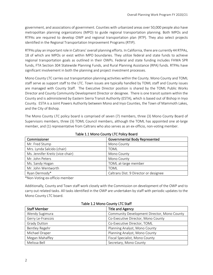government, and associations of government. Counties with urbanized areas over 50,000 people also have metropolitan planning organizations (MPO) to guide regional transportation planning. Both MPOs and RTPAs are required to develop OWP and regional transportation plan (RTP). They also select projects identified in the Regional Transportation Improvement Programs (RTIP).

RTPAs play an important role in Caltrans' overall planning efforts. In California, there are currently 44 RTPAs, 18 of which are MPOs or exist within MPO boundaries. They utilize federal and state funds to achieve regional transportation goals as outlined in their OWPs. Federal and state funding includes FHWA SPR funds, FTA Section 304 Statewide Planning Funds, and Rural Planning Assistance (RPA) funds. RTPAs have significant involvement in both the planning and project investment processes.

Mono County LTC carries out transportation planning activities within the County. Mono County and TOML staff serve as support staff to the LTC. Town issues are typically handled by TOML staff and County issues are managed with County Staff. The Executive Director position is shared by the TOML Public Works Director and County Community Development Director or designee. There is one transit system within the County and is administered by Eastern Sierra Transit Authority (ESTA), which is based out of Bishop in Inyo County. ESTA is a Joint Powers Authority between Mono and Inyo Counties, the Town of Mammoth Lakes, and the City of Bishop.

The Mono County LTC policy board is comprised of seven (7) members, three (3) Mono County Board of Supervisors members, three (3) TOML Council members, although the TOML has appointed one at-large member, and (1) representative from Caltrans who also serves as an ex-officio, non-voting member.

| Commissioner                     | Governmental Body Represented         |
|----------------------------------|---------------------------------------|
| Mr. Fred Stump                   | Mono County                           |
| Mrs. Lynda Salcido (chair)       | TOML                                  |
| Ms. Jennifer Kreitz (vice-chair) | Mono County                           |
| Mr. John Peters                  | Mono County                           |
| Ms. Sandy Hogan                  | TOML at-large member                  |
| Mr. John Wentworth               | TOML                                  |
| Ryan Dermody*                    | Caltrans Dist. 9 Director or designee |

Table 1.1 Mono County LTC Policy Board

\*Non-Voting ex-officio member

Additionally, County and Town staff work closely with the Commission on development of the OWP and to carry out related tasks. All tasks identified in the OWP are undertaken by staff with periodic updates to the Mono County LTC board.

| <b>Staff Member</b>                                           | <b>Title and Agency</b>            |
|---------------------------------------------------------------|------------------------------------|
| Wendy Sugimura<br>Community Development Director, Mono County |                                    |
| Gerry Le-Francois                                             | Co-Executive Director, Mono County |
| <b>Grady Dutton</b><br>Co-Executive Director, TOML            |                                    |
| Planning Analyst, Mono County<br>Bentley Regehr               |                                    |
| Michael Draper                                                | Planning Analyst, Mono County      |
| Megan Mahaffey                                                | Fiscal Specialist, Mono County     |
| Melissa Bell                                                  | Secretary, Mono County             |

Table 1.2 Mono County LTC Staff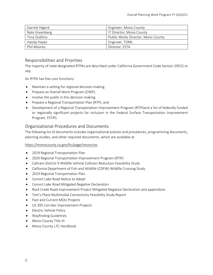| Garrett Higerd | Engineer, Mono County              |
|----------------|------------------------------------|
| Nate Greenberg | IT Director, Mono County           |
| Tony Dublino   | Public Works Director, Mono County |
| Haislip Hayes  | Engineer, TOML                     |
| Phil Moores    | Director, ESTA                     |

## Responsibilities and Priorities

The majority of state designated RTPAs are described under California Government Code Section 29532 et seq.

An RTPA has five core functions:

- Maintain a setting for regional decision-making.
- Prepare an Overall Work Program (OWP).
- Involve the public in this decision-making.
- Prepare a Regional Transportation Plan (RTP); and
- Development of a Regional Transportation Improvement Program (RTIP)and a list of federally funded or regionally significant projects for inclusion in the Federal Surface Transportation Improvement Program. FSTIP).

## Organizational Procedures and Documents

The following list of documents includes organizational policies and procedures, programming documents, planning studies, and other required documents, which are available at:

## <https://monocounty.ca.gov/ltc/page/resources>

- 2019 Regional Transportation Plan
- 2020 Regional Transportation Improvement Program (RTIP)
- Caltrans District 9 Wildlife Vehicle Collision Reduction Feasibility Study
- California Department of Fish and Wildlife (CDFW) Wildlife Crossing Study
- 2019 Regional Transportation Plan
- Convict Lake Road Notice to Adopt
- Convict Lake Road Mitigated Negative Declaration
- Rock Creek Road Improvement Project Mitigated Negative Declaration and appendices
- Tom's Place Multimodal Connectivity Feasibility Study Report
- Past and Current MOU Projects
- US 395 Corridor Improvement Projects
- Electric Vehicle Policy
- Wayfinding Guidelines
- Mono County Title VI
- Mono County LTC Handbook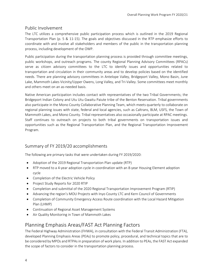## Public Involvement

The LTC utilizes a comprehensive public participation process which is outlined in the 2019 Regional Transportation Plan (p. 5 & 11-15). The goals and objectives discussed in the RTP emphasize efforts to coordinate with and involve all stakeholders and members of the public in the transportation planning process, including development of the OWP.

Public participation during the transportation planning process is provided through committee meetings, public workshops, and outreach programs. The county Regional Planning Advisory Committees (RPACs) serve as citizen advisory committees to the LTC to identify issues and opportunities related to transportation and circulation in their community areas and to develop policies based on the identified needs. There are planning advisory committees in Antelope Valley, Bridgeport Valley, Mono Basin, June Lake, Mammoth Lakes Vicinity/Upper Owens, Long Valley, and Tri-Valley. Some committees meet monthly and others meet on an as-needed basis.

Native American participation includes contact with representatives of the two Tribal Governments; the Bridgeport Indian Colony and Utu Utu Gwaitu Paiute tribe of the Benton Reservation. Tribal governments also participate in the Mono County Collaborative Planning Team, which meets quarterly to collaborate on regional planning issues with state, federal and local agencies, such as Caltrans, BLM, USFS, the Town of Mammoth Lakes, and Mono County. Tribal representatives also occasionally participate at RPAC meetings. Staff continues to outreach on projects to both tribal governments on transportation issues and opportunities such as the Regional Transportation Plan, and the Regional Transportation Improvement Program.

## Summary of FY 2019/20 accomplishments

The following are primary tasks that were undertaken during FY 2019/2020:

- Adoption of the 2019 Regional Transportation Plan update (RTP)
- RTP moved to a 4-year adoption cycle in coordination with an 8-year Housing Element adoption cycle
- Completion of the Electric Vehicle Policy
- Project Study Reports for 2020 RTIP
- Completion and submittal of the 2020 Regional Transportation Improvement Program (RTIP)
- Advancing the region's MOU Projects with Inyo County LTC and Kern Council of Governments
- Completion of Community Emergency Access Route coordination with the Local Hazard Mitigation Plan (LHMP)
- Continuation of Regional Asset Management Systems
- Air Quality Monitoring in Town of Mammoth Lakes

## Planning Emphasis Areas/FAST Act Planning Factors

The Federal Highway Administration (FHWA), in consultation with the Federal Transit Administration (FTA), developed Planning Emphasis Areas (PEAs) to promote policy, procedural, and technical topics that are to be considered by MPOs and RTPAs in preparation of work plans. In addition to PEAs, the FAST Act expanded the scope of factors to consider in the transportation planning process.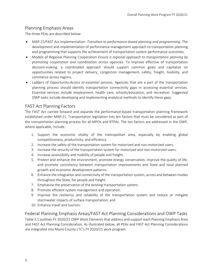## Planning Emphasis Areas

The three PEAs are described below:

- MAP-21/FAST Act Implementation- *Transition to performance-based planning and programming*. The development and implementation of performance management approach to transportation planning and programming that supports the achievement of transportation system performance outcomes.
- Models of Regional Planning Cooperation-*Ensure a regional approach to transportation planning by promoting cooperation and coordination across agencies*. To improve effective of transportation decision-making, a coordinated approach should support common goals and capitalize on opportunities related to project delivery, congestion management, safety, freight, livability, and commerce across regions.
- Ladders of Opportunity-*Access to essential services.* Agencies that are a part of the transportation planning process should identify transportation connectivity gaps in accessing essential services. Essential services include employment, health care, schools/education, and recreation. Suggested OWP tasks include developing and implementing analytical methods to identify these gaps.

## FAST Act Planning Factors

The FAST Act carried forward and expands the performance-based transportation planning framework established under MAP-21. Transportation legislation lists ten factors that must be considered as part of the transportation planning process for all MPOs and RTPAs. The ten factors are addressed in the OWP, where applicable, include:

- 1. Support the economic vitality of the metropolitan area, especially by enabling global competitiveness, productivity, and efficiency.
- 2. Increase the safety of the transportation system for motorized and non-motorized users.
- 3. Increase the security of the transportation system for motorized and non-motorized users.
- 4. Increase accessibility and mobility of people and freight.
- 5. Protect and enhance the environment, promote energy conservation, improve the quality of life, and promote consistency between transportation improvements and State and local planned growth and economic development patterns.
- 6. Enhance the integration and connectivity of the transportation system, across and between modes throughout the State, for people and freight.
- 7. Emphasize the preservation of the existing transportation system.
- 8. Promote efficient system management and operation.
- 9. Improve the resiliency and reliability of the transportation system and reduce or mitigate stormwater impacts of surface transportation; and
- 10. Enhance travel and tourism.

Federal Planning Emphasis Areas/FAST Act Planning Considerations and OWP Tasks Table 3.1 outlines FY 2020/21 OWP Work Elements that address and support each Planning Emphasis Area and FAST Act Planning Consideration. As illustrated below, all PEAs and FAST Act Planning Considerations are integrated into Mono County LTC's FY 2020/21 work program.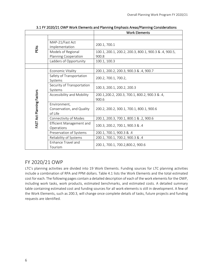|                           |                                                      | <b>Work Elements</b>                                    |
|---------------------------|------------------------------------------------------|---------------------------------------------------------|
|                           |                                                      |                                                         |
| PEAS                      | MAP-21/Fast Act<br>Implementation                    | 200.1, 700.1                                            |
|                           | Models of Regional                                   | 100.1, 200.1, 200.2, 200.3, 800.1, 900.3 & .4, 900.5,   |
|                           | Planning Cooperation                                 | 900.8                                                   |
|                           | Ladders of Opportunity                               | 100.1, 100.3                                            |
|                           |                                                      |                                                         |
|                           | Economic Vitality                                    | 200.1, 200.2, 200.3, 900.3 & .4, 900.7                  |
|                           | Safety of Transportation<br>Systems                  | 200.2, 700.1, 700.2,                                    |
|                           | Security of Transportation<br>Systems                | 100.3, 200.1, 200.2, 200.3                              |
|                           | Accessibility and Mobility                           | 200.1, 200.2, 200.3, 700.1, 800.2, 900.3 & .4,<br>900.6 |
| FAST Act Planning Factors | Environment,<br>Conservation, and Quality<br>of Life | 200.2, 200.2, 300.1, 700.1, 800.1, 900.6                |
|                           | Connectivity of Modes                                | 200.1, 200.3, 700.1, 800.1 & .2, 900.6                  |
|                           | Efficient Management and<br>Operations               | 100.3, 200.2, 700.1, 900.3 & .4                         |
|                           | Preservation of Systems                              | 200.1, 700.1, 900.3 & .4                                |
|                           | Reliability of Systems                               | 200.1, 700.1, 700.2, 900.3 & .4                         |
|                           | Enhance Travel and<br>Tourism                        | 200.1, 700.1, 700.2,800.2, 900.6                        |

3.1 FY 2020/21 OWP Work Elements and Planning Emphasis Areas/Planning Considerations

## FY 2020/21 OWP

LTC's planning activities are divided into 19 Work Elements. Funding sources for LTC planning activities include a combination of RPA and PPM dollars. Table 4.1 lists the Work Elements and the total estimated cost for each. The following pages contain a detailed description of each of the work elements for the OWP, including work tasks, work products, estimated benchmarks, and estimated costs. A detailed summary table containing estimated cost and funding sources for all work elements is still in development. A few of the Work Elements, such as 200.3, will change once complete details of tasks, future projects and funding requests are identified.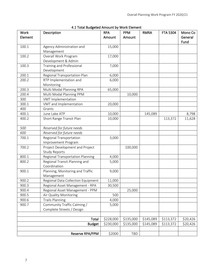| <b>Work</b><br>Element | Description                                             | <b>RPA</b><br>Amount | <b>PPM</b><br>Amount | <b>RMRA</b> | <b>FTA 5304</b> | Mono Co<br>General |
|------------------------|---------------------------------------------------------|----------------------|----------------------|-------------|-----------------|--------------------|
|                        |                                                         |                      |                      |             |                 | Fund               |
| 100.1                  | Agency Administration and<br>Management                 | 15,000               |                      |             |                 |                    |
| 100.2                  | Overall Work Program<br>Development & Admin             | 17,000               |                      |             |                 |                    |
| 100.3                  | Training and Professional<br>Development                | 7,000                |                      |             |                 |                    |
| 200.1                  | Regional Transportation Plan                            | 6,000                |                      |             |                 |                    |
| 200.2                  | RTP Implementation and<br>Monitoring                    | 6,000                |                      |             |                 |                    |
| 200.3                  | Multi Modal Planning RPA                                | 65,000               |                      |             |                 |                    |
| 200.4                  | Multi Modal Planning PPM                                |                      | 10,000               |             |                 |                    |
| 300                    | VMT Implementation                                      |                      |                      |             |                 |                    |
| 300.1                  | VMT and Implementation                                  | 20,000               |                      |             |                 |                    |
| 400                    | Grants                                                  |                      |                      |             |                 |                    |
| 400.1                  | June Lake ATP                                           | 10,000               |                      | 145,089     |                 | 8,798              |
| 400.2                  | Short Range Transit Plan                                | 10,000               |                      |             | 113,372         | 11,628             |
| 500                    | Reserved for future needs                               |                      |                      |             |                 |                    |
| 600                    | Reserved for future needs                               |                      |                      |             |                 |                    |
| 700.1                  | Regional Transportation                                 | 3,000                |                      |             |                 |                    |
|                        | Improvement Program                                     |                      |                      |             |                 |                    |
| 700.2                  | Project Development and Project<br><b>Study Reports</b> |                      | 100,000              |             |                 |                    |
| 800.1                  | <b>Regional Transportation Planning</b>                 | 4,000                |                      |             |                 |                    |
| 800.2                  | Regional Transit Planning and<br>Coordination           | 5,000                |                      |             |                 |                    |
| 900.1                  | Planning, Monitoring and Traffic<br>Management          | 9,000                |                      |             |                 |                    |
| 900.2                  | Regional Data Collection Equipment                      | 11,000               |                      |             |                 |                    |
| 900.3                  | Regional Asset Management - RPA                         | 30,500               |                      |             |                 |                    |
| 900.4                  | Regional Asset Management - PPM                         |                      | 25,000               |             |                 |                    |
| 900.5                  | Air Quality Monitoring                                  | 500                  |                      |             |                 |                    |
| 900.6                  | <b>Trails Planning</b>                                  | 4,000                |                      |             |                 |                    |
| 900.7                  | Community Traffic Calming /                             | 5,000                |                      |             |                 |                    |
|                        | Complete Streets / Design                               |                      |                      |             |                 |                    |
|                        |                                                         |                      |                      |             |                 |                    |
|                        | Total                                                   | \$228,000            | \$135,000            | \$145,089   | \$113,372       | \$20,426           |
|                        | <b>Budget</b>                                           | \$230,000            | \$135,000            | \$145,089   | \$113,372       | \$20,426           |
|                        |                                                         |                      |                      |             |                 |                    |
|                        | Reserve RPA/PPM                                         | \$2000               | TBD                  |             |                 |                    |

## 4.1 Total Budgeted Amount by Work Element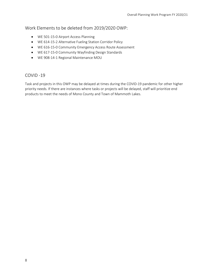## Work Elements to be deleted from 2019/2020 OWP:

- WE 501-15-0 Airport Access Planning
- WE 614-15-2 Alternative Fueling Station Corridor Policy
- WE 616-15-0 Community Emergency Access Route Assessment
- WE 617-15-0 Community Wayfinding Design Standards
- WE 908-14-1 Regional Maintenance MOU

## COVID -19

Task and projects in this OWP may be delayed at times during the COVID-19 pandemic for other higher priority needs. If there are instances where tasks or projects will be delayed, staff will prioritize end products to meet the needs of Mono County and Town of Mammoth Lakes.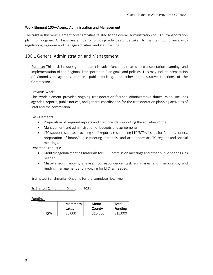#### Work Element 100—Agency Administration and Management

The tasks in this work element cover activities related to the overall administration of LTC's transportation planning program. All tasks are annual or ongoing activities undertaken to maintain compliance with regulations, organize and manage activities, and staff training.

## 100.1 General Administration and Management

Purpose: This task includes general administrative functions related to transportation planning and implementation of the Regional Transportation Plan goals and policies. This may include preparation of Commission agendas, reports, public noticing, and other administrative functions of the Commission.

#### Previous Work:

This work element provides ongoing transportation-focused administrative duties. Work includes agendas, reports, public notices, and general coordination for the transportation planning activities of staff and the commission.

#### Task Elements:

- Preparation of required reports and memoranda supporting the activities of the LTC.
- Management and administration of budgets and agreements.
- LTC support, such as providing staff reports, researching LTC/RTPA issues for Commissioners, preparation of board/public meeting materials, and attendance at LTC regular and special meetings.

Expected Products:

- Monthly agenda meeting materials for LTC Commission meetings and other public hearings, as needed.
- Miscellaneous reports, analyses, correspondence, task summaries and memoranda, and funding management and invoicing for LTC, as needed.

Estimated Benchmarks: Ongoing for the complete fiscal year

Estimated Completion Date: June 2021

|            | Mammoth | Mono     | Total          |
|------------|---------|----------|----------------|
|            | Lakes   | County   | <b>Funding</b> |
| <b>RPA</b> | \$5,000 | \$10.000 | \$15,000       |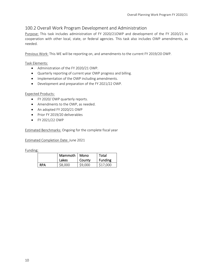## 100.2 Overall Work Program Development and Administration

Purpose: This task includes administration of FY 2020/21OWP and development of the FY 2020/21 in cooperation with other local, state, or federal agencies. This task also includes OWP amendments, as needed.

Previous Work: This WE will be reporting on, and amendments to the current FY 2019/20 OWP.

## Task Elements:

- Administration of the FY 2020/21 OWP.
- Quarterly reporting of current year OWP progress and billing.
- Implementation of the OWP including amendments.
- Development and preparation of the FY 2021/22 OWP.

## Expected Products:

- FY 2020/ OWP quarterly reports.
- Amendments to the OWP, as needed.
- An adopted FY 2020/21 OWP
- Prior FY 2019/20 deliverables
- FY 2021/22 OWP

Estimated Benchmarks: Ongoing for the complete fiscal year

Estimated Completion Date: June 2021

|            | Mammoth   Mono<br>Lakes | County  | Total<br>Funding |
|------------|-------------------------|---------|------------------|
| <b>RPA</b> | \$8,000                 | \$9,000 | \$17,000         |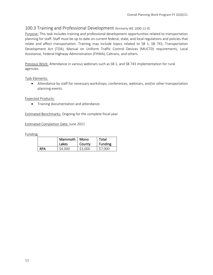## 100.3 Training and Professional Development (formerly WE 1000-12-0)

Purpose: This task includes training and professional development opportunities related to transportation planning for staff. Staff must be up to date on current federal, state, and local regulations and policies that relate and affect transportation. Training may include topics related to SB 1, SB 743, Transportation Development Act (TDA), Manual on Uniform Traffic Control Devices (MUCTD) requirements, Local Assistance, Federal Highway Administration (FHWA), Caltrans, and others.

Previous Work: Attendance in various webinars such as SB 1, and SB 743 implementation for rural agencies.

Task Elements:

• Attendance by staff for necessary workshops, conferences, webinars, and/or other transportation planning events.

Expected Products:

• Training documentation and attendance.

Estimated Benchmarks: Ongoing for the complete fiscal year

Estimated Completion Date: June 2021

|            | Mammoth   Mono<br>Lakes | County  | Total<br><b>Funding</b> |
|------------|-------------------------|---------|-------------------------|
| <b>RPA</b> | \$4,000                 | \$3,000 | \$7,000                 |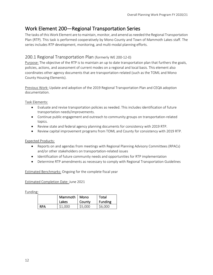## Work Element 200—Regional Transportation Series

The tasks of this Work Element are to maintain, monitor, and amend as needed the Regional Transportation Plan (RTP). This task is performed cooperatively by Mono County and Town of Mammoth Lakes staff. The series includes RTP development, monitoring, and multi-modal planning efforts.

## 200.1 Regional Transportation Plan (formerly WE 200-12-0)

Purpose: The objective of the RTP is to maintain an up to date transportation plan that furthers the goals, policies, actions, and assessment of current modes on a regional and local basis. This element also coordinates other agency documents that are transportation-related (such as the TOML and Mono County Housing Elements).

Previous Work: Update and adoption of the 2019 Regional Transportation Plan and CEQA adoption documentation.

Task Elements:

- Evaluate and revise transportation policies as needed. This includes identification of future transportation needs/improvements.
- Continue public engagement and outreach to community groups on transportation-related topics.
- Review state and federal agency planning documents for consistency with 2019 RTP.
- Review capital improvement programs from TOML and County for consistency with 2019 RTP.

Expected Products:

- Reports on and agendas from meetings with Regional Planning Advisory Committees (RPACs) and/or other stakeholders on transportation-related issues
- Identification of future community needs and opportunities for RTP implementation
- Determine RTP amendments as necessary to comply with Regional Transportation Guidelines

Estimated Benchmarks: Ongoing for the complete fiscal year

Estimated Completion Date: June 2021

|            | Mammoth   Mono<br>Lakes | County  | Total<br><b>Funding</b> |
|------------|-------------------------|---------|-------------------------|
| <b>RPA</b> | \$1,000                 | \$5,000 | \$6,000                 |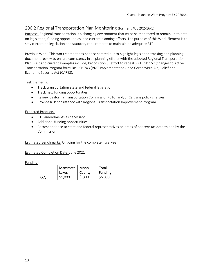## 200.2 Regional Transportation Plan Monitoring (formerly WE 202-16-1)

Purpose: Regional transportation is a changing environment that must be monitored to remain up to date on legislation, funding opportunities, and current planning efforts. The purpose of this Work Element is to stay current on legislation and statutory requirements to maintain an adequate RTP.

Previous Work: This work element has been separated out to highlight legislation tracking and planning document review to ensure consistency in all planning efforts with the adopted Regional Transportation Plan. Past and current examples include; Proposition 6 (effort to repeal SB 1), SB 152 (changes to Active Transportation Program formulas), SB 743 (VMT implementation), and Coronavirus Aid, Relief and Economic Security Act (CARES).

## Task Elements:

- Track transportation state and federal legislation
- Track new funding opportunities
- Review California Transportation Commission (CTC) and/or Caltrans policy changes
- Provide RTP consistency with Regional Transportation Improvement Program

#### Expected Products:

- RTP amendments as necessary
- Additional funding opportunities
- Correspondence to state and federal representatives on areas of concern (as determined by the Commission)

Estimated Benchmarks: Ongoing for the complete fiscal year

Estimated Completion Date: June 2021

|            | Mammoth   Mono<br>Lakes | County  | Total<br><b>Funding</b> |
|------------|-------------------------|---------|-------------------------|
| <b>RPA</b> | \$1,000                 | \$5,000 | \$6,000                 |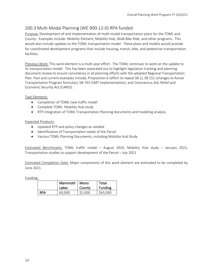## 200.3 Multi Modal Planning (WE 900-12-0) RPA funded

Purpose: Development of and implementation of multi-modal transportation plans for the TOML and County. Examples include: Mobility Element, Mobility Hub, Walk Bike Ride, and other programs. This would also include updates to the TOML transportation model. These plans and models would provide for coordinated development programs that include housing, transit, bike, and pedestrian transportation facilities.

Previous Work: This work element is a multi-year effort. The TOML continues to work on the update to its transportation model. This has been separated out to highlight legislation tracking and planning document review to ensure consistency in all planning efforts with the adopted Regional Transportation Plan. Past and current examples include; Proposition 6 (effort to repeal SB 1), SB 152 (changes to Active Transportation Program formulas), SB 743 (VMT implementation), and Coronavirus Aid, Relief and Economic Security Act (CARES).

## Task Elements:

- Completion of TOML new traffic model
- Complete TOML Mobility Hub study
- RTP integration of TOML Transportation Planning documents and modeling analysis

## Expected Products:

- Updated RTP and policy changes as needed
- Identification of Transportation needs of the Parcel
- Various TOML Planning Documents, including Mobility Hub Study

Estimated Benchmarks: TOML traffic model – August 2020, Mobility Hub study – January 2021, Transportation studies to support development of the Parcel – July 2021

Estimated Completion Date: Major components of this work element are estimated to be completed by June 2021.

|            | Mammoth   Mono<br>Lakes | County  | Total<br>Funding |
|------------|-------------------------|---------|------------------|
| <b>RPA</b> | 60,000                  | \$5,000 | \$65,000         |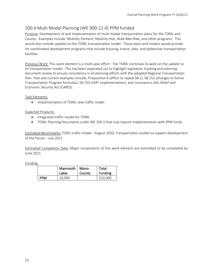## 200.4 Multi Modal Planning (WE 900-12-0) PPM funded

Purpose: Development of and implementation of multi-modal transportation plans for the TOML and County. Examples include: Mobility Element, Mobility Hub, Walk Bike Ride, and other programs. This would also include updates to the TOML transportation model. These plans and models would provide for coordinated development programs that include housing, transit, bike, and pedestrian transportation facilities.

Previous Work: This work element is a multi-year effort. The TOML continues to work on the update to its transportation model. This has been separated out to highlight legislation tracking and planning document review to ensure consistency in all planning efforts with the adopted Regional Transportation Plan. Past and current examples include; Proposition 6 (effort to repeal SB 1), SB 152 (changes to Active Transportation Program formulas), SB 743 (VMT implementation), and Coronavirus Aid, Relief and Economic Security Act (CARES).

Task Elements:

• Implementation of TOML new traffic model

## Expected Products:

- Integrated traffic model for TOML
- TOML Planning Documents under WE 200.3 that may require implementation with PPM funds

Estimated Benchmarks: TOML traffic model – August 2020, Transportation studies to support development of the Parcel – July 2021

Estimated Completion Date: Major components of this work element are estimated to be completed by June 2021.

|            | Mammoth   Mono<br>Lakes | County | Total<br><b>Funding</b> |
|------------|-------------------------|--------|-------------------------|
| <b>PPM</b> | 10.000                  |        | \$10,000                |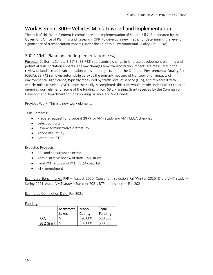## Work Element 300—Vehicles Miles Traveled and Implementation

The task of this Work Element is compliance and implementation of Senate Bill 743 mandated by the Governor's Office of Planning and Research (OPR) to develop a new metric for determining the level of significance of transportation impacts under the California Environmental Quality Act (CEQA).

## 300.1 VMT Planning and Implementation (new)

Purpose: California Senate Bill 743 (SB 743) represents a change in land use development planning and potential transportation impacts. The law changes how transportation impacts are measured in the review of land use and transportation plans and projects under the California Environmental Quality Act (CEQA). SB 743 removes automobile delay as the primary measure of transportation impacts of environmental significance, typically measured by traffic level of service (LOS), and replaces it with vehicle-miles traveled (VMT). Once this study is completed, this item would reside under WE 900.1 as an on-going work element. Some of the funding is from SB 2 Planning Grant received by the Community Development Department for jobs housing balance and VMT needs.

Previous Work: This is a new work element.

## Task Elements:

- Prepare request for proposal (RFP) for VMT study and VMT CEQA checklist
- Select consultant
- Review administrative draft study
- Adopt VMT study
- Amend the RTP

## Expected Products:

- RFP and consultant selection
- Administrative review of draft VMT study
- Final VMT study and VMT CEQA checklist
- RTP amendment

Estimated Benchmarks: RFP – August 2020, Consultant selection Fall/Winter 2020, Draft VMT study – Spring 2021, Adopt VMT study – Summer 2021, RTP amendment – Fall 2021

## Estimated Completion Date: Fall 2021

|            | Mammoth<br>Lakes | Mono<br>County | Total<br><b>Funding</b> |
|------------|------------------|----------------|-------------------------|
| <b>RPA</b> |                  | \$20,000       | \$20,000                |
| SB 2 Grant |                  | \$30,000       | \$30,000                |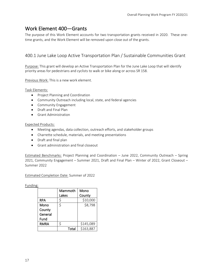## Work Element 400—Grants

The purpose of this Work Element accounts for two transportation grants received in 2020. These onetime grants, and the Work Element will be removed upon close out of the grants.

## 400.1 June Lake Loop Active Transportation Plan / Sustainable Communities Grant

Purpose: This grant will develop an Active Transportation Plan for the June Lake Loop that will identify priority areas for pedestrians and cyclists to walk or bike along or across SR 158.

Previous Work: This is a new work element.

Task Elements:

- Project Planning and Coordination
- Community Outreach including local, state, and federal agencies
- Community Engagement
- Draft and Final Plan
- Grant Administration

Expected Products:

- Meeting agendas, data collection, outreach efforts, and stakeholder groups
- Charrette schedule, materials, and meeting presentations
- Draft and final plan
- Grant administration and final closeout

Estimated Benchmarks: Project Planning and Coordination – June 2022, Community Outreach – Spring 2021, Community Engagement – Summer 2021, Draft and Final Plan – Winter of 2022, Grant Closeout – Summer 2022

Estimated Completion Date: Summer of 2022

|             | Mammoth | Mono      |
|-------------|---------|-----------|
|             | Lakes   | County    |
| <b>RPA</b>  | \$      | \$10,000  |
| Mono        | \$      | \$8,798   |
| County      |         |           |
| General     |         |           |
| Fund        |         |           |
| <b>RMRA</b> | \$      | \$145,089 |
|             | Total   | \$163,887 |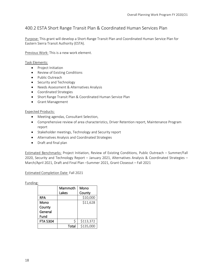## 400.2 ESTA Short Range Transit Plan & Coordinated Human Services Plan

Purpose: This grant will develop a Short-Range Transit Plan and Coordinated Human Service Plan for Eastern Sierra Transit Authority (ESTA).

Previous Work: This is a new work element.

#### Task Elements:

- Project Initiation
- Review of Existing Conditions
- Public Outreach
- Security and Technology
- Needs Assessment & Alternatives Analysis
- Coordinated Strategies
- Short Range Transit Plan & Coordinated Human Service Plan
- Grant Management

#### Expected Products:

- Meeting agendas, Consultant Selection,
- Comprehensive review of area characteristics, Driver Retention report, Maintenance Program report
- Stakeholder meetings, Technology and Security report
- Alternatives Analysis and Coordinated Strategies
- Draft and final plan

Estimated Benchmarks: Project Initiation, Review of Existing Conditions, Public Outreach – Summer/Fall 2020, Security and Technology Report – January 2021, Alternatives Analysis & Coordinated Strategies – March/April 2021, Draft and Final Plan –Summer 2021, Grant Closeout – Fall 2021

Estimated Completion Date: Fall 2021

|                 | Mammoth | Mono      |
|-----------------|---------|-----------|
|                 | Lakes   | County    |
| <b>RPA</b>      |         | \$10,000  |
| Mono            |         | \$11,628  |
| County          |         |           |
| General         |         |           |
| Fund            |         |           |
| <b>FTA 5304</b> | Ś       | \$113,372 |
|                 | Total   | \$135,000 |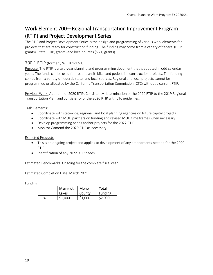## Work Element 700—Regional Transportation Improvement Program (RTIP) and Project Development Series

The RTIP and Project Development Series is the design and programming of various work elements for projects that are ready for construction funding. The funding may come from a variety of federal (FTIP, grants), State (STIP, grants) and local sources (SB 1, grants).

## 700.1 RTIP (formerly WE 701-12-1)

Purpose: The RTIP is a two-year planning and programming document that is adopted in odd calendar years. The funds can be used for road, transit, bike, and pedestrian construction projects. The funding comes from a variety of federal, state, and local sources. Regional and local projects cannot be programmed or allocated by the California Transportation Commission (CTC) without a current RTIP.

Previous Work: Adoption of 2020 RTIP, Consistency determination of the 2020 RTIP to the 2019 Regional Transportation Plan, and consistency of the 2020 RTIP with CTC guidelines.

Task Elements:

- Coordinate with statewide, regional, and local planning agencies on future capital projects
- Coordinate with MOU partners on funding and revised MOU time frames when necessary
- Develop programming needs and/or projects for the 2022 RTIP
- Monitor / amend the 2020 RTIP as necessary

## Expected Products:

- This is an ongoing project and applies to development of any amendments needed for the 2020 RTIP
- Identification of any 2022 RTIP needs

Estimated Benchmarks: Ongoing for the complete fiscal year

Estimated Completion Date: March 2021

|            | Mammoth   Mono<br>Lakes | County  | Total<br>Funding |
|------------|-------------------------|---------|------------------|
| <b>RPA</b> | \$1,000                 | \$1,000 | \$2,000          |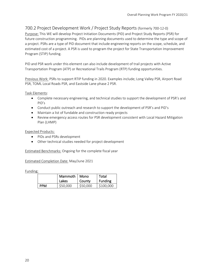## 700.2 Project Development Work / Project Study Reports (formerly 700-12-0)

Purpose: This WE will develop Project Initiation Documents (PID) and Project Study Reports (PSR) for future construction programming. PIDs are planning documents used to determine the type and scope of a project. PSRs are a type of PID document that include engineering reports on the scope, schedule, and estimated cost of a project. A PSR is used to program the project for State Transportation Improvement Program (STIP) funding.

PID and PSR work under this element can also include development of trail projects with Active Transportation Program (ATP) or Recreational Trails Program (RTP) funding opportunities.

Previous Work: PSRs to support RTIP funding in 2020. Examples include; Long Valley PSR, Airport Road PSR, TOML Local Roads PSR, and Eastside Lane phase 2 PSR.

Task Elements:

- Complete necessary engineering, and technical studies to support the development of PSR's and PID's
- Conduct public outreach and research to support the development of PSR's and PID's
- Maintain a list of fundable and construction ready projects
- Review emergency access routes for PSR development consistent with Local Hazard Mitigation Plan (LHMP)

#### Expected Products:

- PIDs and PSRs development
- Other technical studies needed for project development

Estimated Benchmarks: Ongoing for the complete fiscal year

#### Estimated Completion Date: May/June 2021

|            | Mammoth   Mono<br>Lakes | County   | Total<br><b>Funding</b> |
|------------|-------------------------|----------|-------------------------|
| <b>PPM</b> | \$50,000                | \$50,000 | \$100,000               |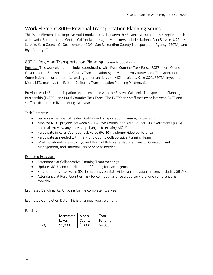## Work Element 800—Regional Transportation Planning Series

This Work Element is to improve multi-modal access between the Eastern Sierra and other regions, such as Nevada, Southern, and Central California. Interagency partners include National Park Service, US Forest Service, Kern Council Of Governments (COG), San Bernardino County Transportation Agency (SBCTA), and Inyo County LTC.

## 800.1. Regional Transportation Planning (formerly 800-12-1)

Purpose: This work element includes coordinating with Rural Counties Task Force (RCTF), Kern Council of Governments, San Bernardino County Transportation Agency, and Inyo County Local Transportation Commission on current issues, funding opportunities, and MOU projects. Kern COG, SBCTA, Inyo, and Mono LTCs make up the Eastern California Transportation Planning Partnership.

Previous work: Staff participation and attendance with the Eastern California Transportation Planning Partnership (ECTPP), and Rural Counties Task Force. The ECTPP and staff met twice last year. RCTF and staff participated in five meetings last year.

Task Elements:

- Serve as a member of Eastern California Transportation Planning Partnership
- Monitor MOU projects between SBCTA, Inyo County, and Kern Council Of Governments (COG) and make/review any necessary changes to existing MOU's
- Participate in Rural Counties Task Force (RCTF) via phone/video conference
- Participate as needed with the Mono County Collaborative Planning Team
- Work collaboratively with Inyo and Humboldt-Toiyabe National Forest, Bureau of Land Management, and National Park Service as needed

## Expected Products:

- Attendance at Collaborative Planning Team meetings
- Update MOUs and coordination of funding for each agency
- Rural Counties Task Force (RCTF) meetings on statewide transportation matters, including SB 743
- Attendance at Rural Counties Task Force meetings once a quarter via phone conference as available

Estimated Benchmarks: Ongoing for the complete fiscal year

Estimated Completion Date: This is an annual work element

|            | Mammoth | Mono    | Total          |
|------------|---------|---------|----------------|
|            | Lakes   | County  | <b>Funding</b> |
| <b>RPA</b> | \$1,000 | \$3,000 | \$4,000        |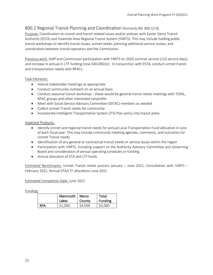## 800.2 Regional Transit Planning and Coordination (formerly WE 300-12-0)

Purpose: Coordination on transit and transit related issues and/or policies with Easter Sierra Transit Authority (ESTA) and Yosemite Area Regional Transit System (YARTS). This may include holding public transit workshops to identify transit issues, unmet needs, planning additional service routes, and coordination between transit operators and the Commission.

Previous work: Staff and Commission participation with YARTS on 2020 summer service (123 service days) and increase in annual in LTF funding (now \$40,000/yr). In conjunction with ESTA, conduct unmet transit and transportation needs with RPACs.

## Task Elements:

- Attend stakeholder meetings as appropriate
- Conduct community outreach on an annual basis
- Conduct seasonal transit workshop these would be general transit needs meetings with TOML, RPAC groups and other interested nonprofits
- Meet with Social Service Advisory Committee (SSTAC) members as needed
- Collect Unmet Transit needs for community
- Incorporate Intelligent Transportation System (ITS) Plan policy into transit plans

#### Expected Products:

- Identify Unmet and regional transit needs for annual Local Transportation Fund allocation in June of each fiscal year. This may include community meeting agendas, comments, and outcomes for Unmet Transit needs
- Identification of any general or contractual transit needs or service issues within the region
- Participation with YARTS, including support to the Authority Advisory Committee and Governing Board and consideration of annual operating schedules or funding
- Annual allocation of STA and LTF funds

Estimated Benchmarks: Unmet Transit needs process January – June 2021, Consultation with YARTS – February 2021, Annual STA/LTF allocations June 2021

#### Estimated Completion Date: June 2021

|     | Mammoth   Mono<br>Lakes | County  | Total<br><b>Funding</b> |
|-----|-------------------------|---------|-------------------------|
| RPA | \$1,000                 | \$4,000 | \$5,000                 |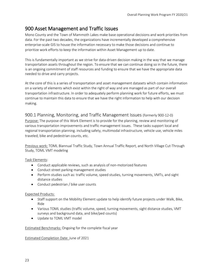## 900 Asset Management and Traffic Issues

Mono County and the Town of Mammoth Lakes make base operational decisions and work priorities from data. For the past two decades, the organizations have incrementally developed a comprehensive enterprise-scale GIS to house the information necessary to make those decisions and continue to prioritize work efforts to keep the information within Asset Management up to date.

This is fundamentally important as we strive for data-driven decision making in the way that we manage transportation assets throughout the region. To ensure that we can continue doing so in the future, there is an ongoing commitment of staff resources and funding to ensure that we have the appropriate data needed to drive and carry projects.

At the core of this is a series of transportation and asset management datasets which contain information on a variety of elements which exist within the right of way and are managed as part of our overall transportation infrastructure. In order to adequately perform planning work for future efforts, we must continue to maintain this data to ensure that we have the right information to help with our decision making.

## 900.1 Planning, Monitoring, and Traffic Management Issues (formerly 900-12-0)

Purpose: The purpose of this Work Element is to provide for the planning, review and monitoring of various transportation improvements and traffic management issues. These tasks support local and regional transportation planning. including safety, multimodal infrastructure, vehicle use, vehicle miles traveled, bike and pedestrian counts, etc.

Previous work: TOML Biannual Traffic Study, Town Annual Traffic Report, and North Village Cut-Through Study, TOML VMT modeling

## Task Elements:

- Conduct applicable reviews, such as analysis of non-motorized features
- Conduct street parking management studies
- Perform studies such as: traffic volume, speed studies, turning movements, VMTs, and sight distance studies
- Conduct pedestrian / bike user counts

## Expected Products:

- Staff support on the Mobility Element update to help identify future projects under Walk, Bike, Ride
- Various TOML studies (traffic volume, speed, turning movements, sight distance studies, VMT surveys and background data, and bike/ped counts)
- Update to TOML VMT model

Estimated Benchmarks: Ongoing for the complete fiscal year

## Estimated Completion Date: June of 2021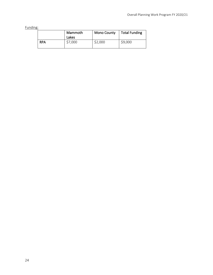|            | Mammoth<br>Lakes | <b>Mono County</b> | <b>Total Funding</b> |
|------------|------------------|--------------------|----------------------|
| <b>RPA</b> | \$7,000          | \$2,000            | \$9,000              |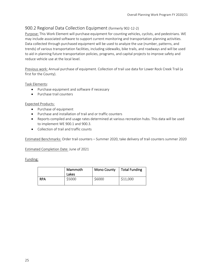## 900.2 Regional Data Collection Equipment (formerly 902-12-2)

Purpose: This Work Element will purchase equipment for counting vehicles, cyclists, and pedestrians. WE may include associated software to support current monitoring and transportation planning activities. Data collected through purchased equipment will be used to analyze the use (number, patterns, and trends) of various transportation facilities, including sidewalks, bike trails, and roadways and will be used to aid in planning future transportation policies, programs, and capital projects to improve safety and reduce vehicle use at the local level.

Previous work: Annual purchase of equipment. Collection of trail use data for Lower Rock Creek Trail (a first for the County).

Task Elements:

- Purchase equipment and software if necessary
- Purchase trail counters

Expected Products:

- Purchase of equipment
- Purchase and installation of trail and or traffic counters
- Reports compiled and usage rates determined at various recreation hubs. This data will be used to implement WE 900.1 and 900.3.
- Collection of trail and traffic counts

Estimated Benchmarks: Order trail counters – Summer 2020, take delivery of trail counters summer 2020

Estimated Completion Date: June of 2021

|            | Mammoth<br>Lakes | <b>Mono County</b> | <b>Total Funding</b> |
|------------|------------------|--------------------|----------------------|
| <b>RPA</b> | \$5000           | \$6000             | \$11,000             |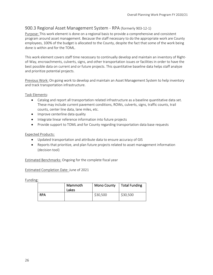## 900.3 Regional Asset Management System - RPA (formerly 903-12-1)

Purpose: This work element is done on a regional basis to provide a comprehensive and consistent program around asset management. Because the staff necessary to do the appropriate work are County employees, 100% of the budget is allocated to the County, despite the fact that some of the work being done is within and for the TOML.

This work element covers staff time necessary to continually develop and maintain an inventory of Rightof-Way, encroachments, culverts, signs, and other transportation issues or facilities in order to have the best possible data on current and or future projects. This quantitative baseline data helps staff analyze and prioritize potential projects.

Previous Work: On going work to develop and maintain an Asset Management System to help inventory and track transportation infrastructure.

Task Elements:

- Catalog and report all transportation related infrastructure as a baseline quantitative data set. These may include current pavement conditions, ROWs, culverts, signs, traffic counts, trail counts, center line data, lane miles, etc.
- Improve centerline data quality
- Integrate linear reference information into future projects
- Provide support to TOML and for County regarding transportation data base requests

#### Expected Products:

- Updated transportation and attribute data to ensure accuracy of GIS
- Reports that prioritize, and plan future projects related to asset management information (decision tool)

Estimated Benchmarks: Ongoing for the complete fiscal year

Estimated Completion Date: June of 2021

|            | Mammoth<br>Lakes | <b>Mono County</b> | <b>Total Funding</b> |
|------------|------------------|--------------------|----------------------|
| <b>RPA</b> |                  | \$30,500           | \$30,500             |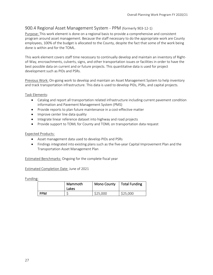## 900.4 Regional Asset Management System - PPM (formerly 903-12-1)

Purpose: This work element is done on a regional basis to provide a comprehensive and consistent program around asset management. Because the staff necessary to do the appropriate work are County employees, 100% of the budget is allocated to the County, despite the fact that some of the work being done is within and for the TOML.

This work element covers staff time necessary to continually develop and maintain an inventory of Rightof-Way, encroachments, culverts, signs, and other transportation issues or facilities in order to have the best possible data on current and or future projects. This quantitative data is used for project development such as PIDs and PSRs.

Previous Work: On-going work to develop and maintain an Asset Management System to help inventory and track transportation infrastructure. This data is used to develop PIDs, PSRs, and capital projects.

Task Elements:

- Catalog and report all transportation related infrastructure including current pavement condition information and Pavement Management System (PMS)
- Provide reports to plan future maintenance in a cost-effective matter
- Improve center line data quality
- Integrate linear reference dataset into highway and road projects
- Provide support to TOML for County and TOML on transportation data request

#### Expected Products:

- Asset management data used to develop PIDs and PSRs
- Findings integrated into existing plans such as the five-year Capital Improvement Plan and the Transportation Asset Management Plan

Estimated Benchmarks: Ongoing for the complete fiscal year

Estimated Completion Date: June of 2021

|            | Mammoth<br>Lakes | <b>Mono County</b> | <b>Total Funding</b> |
|------------|------------------|--------------------|----------------------|
| <b>PPM</b> |                  | \$25,000           | \$25,000             |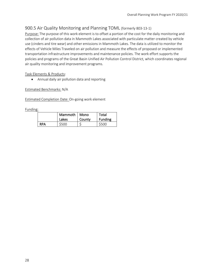## 900.5 Air Quality Monitoring and Planning TOML (formerly 803-13-1)

Purpose: The purpose of this work element is to offset a portion of the cost for the daily monitoring and collection of air pollution data in Mammoth Lakes associated with particulate matter created by vehicle use (cinders and tire wear) and other emissions in Mammoth Lakes. The data is utilized to monitor the effects of Vehicle Miles Traveled on air pollution and measure the effects of proposed or implemented transportation infrastructure improvements and maintenance policies. The work effort supports the policies and programs of the Great Basin Unified Air Pollution Control District, which coordinates regional air quality monitoring and improvement programs.

## Task Elements & Products:

• Annual daily air pollution data and reporting

Estimated Benchmarks: N/A

Estimated Completion Date: On-going work element

|            | Mammoth   Mono<br>Lakes | County | Total<br><b>Funding</b> |  |  |
|------------|-------------------------|--------|-------------------------|--|--|
| <b>RPA</b> | \$500                   |        | \$500                   |  |  |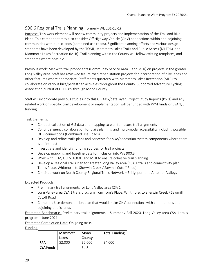## 900.6 Regional Trails Planning (formerly WE 201-12-1)

Purpose: This work element will review community projects and implementation of the Trail and Bike Plans. This component may also consider Off Highway Vehicle (OHV) connections within and adjoining communities with public lands (combined use roads). Significant planning efforts and various design standards have been developed by the TOML, Mammoth Lakes Trails and Public Access (MLTPA), and Mammoth Lakes Recreation (MLR). Trail planning within the County will follow existing templates, and standards where possible.

Previous work: Met with trail proponents (Community Service Area 1 and MLR) on projects in the greater Long Valley area. Staff has reviewed future road rehabilitation projects for incorporation of bike lanes and other features where appropriate. Staff meets quarterly with Mammoth Lakes Recreation (MLR) to collaborate on various bike/pedestrian activities throughout the County. Supported Adventure Cycling Association pursuit of USBR 85 through Mono County.

Staff will incorporate previous studies into this GIS task/data layer. Project Study Reports (PSRs) and any related work on specific trail development or implementation will be funded with PPM funds or CSA 1/5 funding.

## Task Elements:

- Conduct collection of GIS data and mapping to plan for future trail alignments
- Continue agency collaboration for trails planning and multi-modal accessibility including possible OHV connections (Combined Use Roads)
- Develop and refine trails plans and concepts for bike/pedestrian system components where there is an interest
- Investigate and identify funding sources for trail projects
- Develop mapping and baseline data for inclusion into WE 900.3
- Work with BLM, USFS, TOML, and MLR to ensure cohesive trail planning
- Develop a Regional Trails Plan for greater Long Valley area (CSA 1 trails and connectivity plan Tom's Place, Whitmore, to Sherwin Creek / Sawmill Cutoff Road)
- Continue work on North County Regional Trails Network Bridgeport and Antelope Valleys

## Expected Products:

- Preliminary trail alignments for Long Valley area CSA 1
- Long Valley area CSA 1 trails program from Tom's Place, Whitmore, to Sherwin Creek / Sawmill Cutoff Road
- Combined Use demonstration plan that would make OHV connections with communities and adjoining public lands

Estimated Benchmarks: Preliminary trail alignments – Summer / Fall 2020, Long Valley area CSA 1 trails program – June 2021

Estimated Completion Date: On going tasks

|                  | Mammoth<br>Lakes | Mono<br>County | <b>Total Funding</b> |  |  |
|------------------|------------------|----------------|----------------------|--|--|
| <b>RPA</b>       | \$2,000          | \$2,000        | \$4,000              |  |  |
| <b>CSA Funds</b> |                  |                |                      |  |  |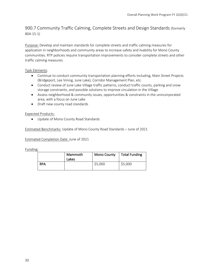## 900.7 Community Traffic Calming, Complete Streets and Design Standards (formerly 804-15-1)

Purpose: Develop and maintain standards for complete streets and traffic calming measures for application in neighborhoods and community areas to increase safety and livability for Mono County communities. RTP policies require transportation improvements to consider complete streets and other traffic calming measures.

Task Elements:

- Continue to conduct community transportation planning efforts including, Main Street Projects (Bridgeport, Lee Vining, June Lake), Corridor Management Plan, etc.
- Conduct review of June Lake Village traffic patterns, conduct traffic counts, parking and snow storage constraints, and possible solutions to improve circulation in the Village
- Assess neighborhood & community issues, opportunities & constraints in the unincorporated area, with a focus on June Lake
- Draft new county road standards

Expected Products:

• Update of Mono County Road Standards

Estimated Benchmarks: Update of Mono County Road Standards – June of 2021

Estimated Completion Date: June of 2021

|            | Mammoth<br>Lakes | <b>Mono County</b> | Total Funding |  |  |  |
|------------|------------------|--------------------|---------------|--|--|--|
| <b>RPA</b> |                  | \$5,000            | \$5,000       |  |  |  |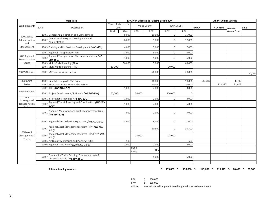|                                      |              | <b>Work Task</b>                                                                | RPA/PPM Budget and Funding Breakdown |            |                           |            |                            |                      | <b>Other Funding Sources</b> |          |                     |                 |
|--------------------------------------|--------------|---------------------------------------------------------------------------------|--------------------------------------|------------|---------------------------|------------|----------------------------|----------------------|------------------------------|----------|---------------------|-----------------|
| <b>Work Elements</b>                 | Task #       | Description                                                                     | Town of Mammoth<br>Lakes             |            | Mono County               |            | <b>TOTAL COST</b>          |                      | <b>RMRA</b>                  | FTA 5304 | Mono Co             | SB <sub>2</sub> |
|                                      |              | General Administration and Management                                           | PPM                                  | <b>RPA</b> | PPM                       | <b>RPA</b> | PPM                        | <b>RPA</b><br>15,000 |                              |          | <b>General Fund</b> |                 |
| 100 Agency<br>Administration         | 100.<br>100. | Overall Work Program Development and<br>Administration                          | 5,000<br>8,000                       |            | 10,000<br>9,000           |            | $\mathbf 0$<br>$\mathbf 0$ | 17,000               |                              |          |                     |                 |
| and<br>Management                    |              | 100.3 Training and Professional Development (WE 1000)                           | 4,000                                |            |                           | 3,000      | $\mathbf 0$<br>7,000       |                      |                              |          |                     |                 |
|                                      | 200          | Regional Transportation Plan                                                    | 1,000                                |            |                           | 5,000      | $\mathbf{0}$<br>6,000      |                      |                              |          |                     |                 |
| 200 Regional<br>Transportation       | 200.         | Regional Transportation Plan Implementation (WE<br>$202 - 16 - 1$               | 1,000                                |            |                           | 5,000      | $\mathbf 0$<br>6,000       |                      |                              |          |                     |                 |
| Series                               | 200.         | Multi Modal Planning (RPA)                                                      | 60,000                               |            |                           | 5,000      |                            | 65,000               |                              |          |                     |                 |
|                                      |              | 200.4 Multi Modal Planning (PPM)                                                | 10,000                               |            |                           |            | 10,000                     |                      |                              |          |                     |                 |
| 300 VMT Series                       |              | 300.1 VMT and Implementation                                                    |                                      |            |                           | 20,000     |                            | 20,000               |                              |          |                     | 30,000          |
|                                      |              |                                                                                 |                                      |            |                           |            |                            |                      |                              |          |                     |                 |
| 400 Grant                            | 400.         | June Lake Loop ATP / SC Grant                                                   |                                      |            |                           | 10,000     |                            | 10,000               | 145,089                      |          | 8,798               |                 |
| Series                               | 400.         | 2 ESTA Short Range Transit Plan / Grant                                         |                                      |            |                           | 10,000     |                            | 10,000               |                              | 113,372  | 11,628              |                 |
|                                      | 700.         | 1 RTIP (WE 701-12-1)                                                            |                                      | 1,000      |                           | 2,000      | $\mathbf 0$                | 3,000                |                              |          |                     |                 |
| 700 RTIP Series                      |              | 700.2 Project Development / PSR work (WE 700-12-0)                              | 50,000                               |            | 50,000                    |            | 100,000                    |                      |                              |          |                     |                 |
| Interregional                        | 800          | Interregional Planning (WE 800-12-1)                                            |                                      | 1,000      |                           | 3,000      | $\mathbf 0$                | 4,000                |                              |          |                     |                 |
| Transportation                       | 800.         | Regional Transit Planning and Coordination (WE 300-<br>$12 - 01$                |                                      | 1,000      |                           | 4,000      | $\mathbf 0$                | 5,000                |                              |          |                     |                 |
| 900 Asset<br>Management &<br>Traffic | 900.1        | Planning, Monitoring and Traffic Management Issues<br>(WE 900-12-0)             |                                      | 7,000      |                           | 2,000      | $\mathsf{O}\xspace$        | 9,000                |                              |          |                     |                 |
|                                      |              | 900.2 Regional Data Collection Equipment (WE 902-12-2)                          |                                      | 5,000      |                           | 6,000      | $\mathbf 0$                | 11,000               |                              |          |                     |                 |
|                                      | 900.3        | Regional Asset Management System - RPA (WE 903-<br>$12 - 1$                     |                                      |            |                           | 30,500     | $\mathbf 0$                | 30,500               |                              |          |                     |                 |
|                                      | 900.         | Regional Asset Management System - PPM (WE 903-<br>$12 - 1$                     |                                      |            | 25,000                    |            | 25,000                     |                      |                              |          |                     |                 |
|                                      | 900.         | Air Quality Monitoring and Planning TOML                                        |                                      | 500        |                           |            |                            | 500                  |                              |          |                     |                 |
|                                      |              | 900.6 Regional Trails Planning (WE 201-12-1)                                    |                                      | 2,000      |                           | 2,000      |                            | 4,000                |                              |          |                     |                 |
|                                      |              |                                                                                 |                                      |            | CSA <sub>1</sub><br>funds | TBD        |                            |                      |                              |          |                     |                 |
|                                      | 900.         | Community Traffic Calming, Complete Streets &<br>Design Standards (WE 804-15-1) |                                      |            |                           | 5,000      |                            | 5,000                |                              |          |                     |                 |
|                                      |              |                                                                                 |                                      |            |                           |            |                            |                      |                              |          |                     |                 |

Subtotal funding amounts **125,000** \$ 135,000 \$ 135,000 \$ 145,089 \$ 113,372 \$ 20,426 \$ 30,000

RPA \$ 230,000<br>PPM \$ 135,000

 $$ 135,000$ 

rollover any rollover will augment base budget with formal amendment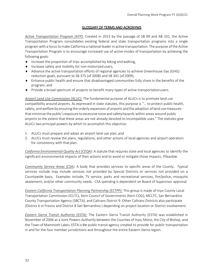## GLOSSARY OF TERMS AND ACRONYMS

*Active Transportation Program (ATP):* Created in 2013 by the passage of SB 99 and AB 101, the Active Transportation Program consolidates existing federal and state transportation programs into a single program with a focus to make California a national leader in active transportation. The purpose of the Active Transportation Program is to encourage increased use of active modes of transportation by achieving the following goals:

- ♦ Increase the proportion of trips accomplished by biking andwalking,
- ♦ Increase safety and mobility for non-motorized users,
- ♦ Advance the active transportation efforts of regional agencies to achieve Greenhouse Gas (GHG) reduction goals, pursuant to SB 375 (of 2008) and SB 341 (of 2009),
- ♦ Enhance public health and ensure that disadvantaged communities fully share in the benefits of the program, and
- ♦ Provide a broad spectrum of projects to benefit many types of active transportationusers.

*Airport Land Use Commission (ALUC):* The fundamental purpose of ALUCs is to promote land use compatibility around airports. As expressed in state statutes, this purpose is "… to protect public health, safety, and welfare by ensuring the orderly expansion of airports and the adoption of land use measures that minimize the public's exposure to excessive noise and safety hazards within areas around public airports to the extent that these areas are not already devoted to incompatible uses." The statutes give ALUCs two principal powers by which to accomplish this objective:

- 1. ALUCs must prepare and adopt an airport land use plan; and
- 2. ALUCs must review the plans, regulations, and other actions of local agencies and airport operators for consistency with that plan.

*California Environmental Quality Act (CEQA):* A statute that requiresstate and local agencies to identify the significant environmental impacts of their actions and to avoid or mitigate those impacts, iffeasible.

*Community Service Areas (CSA):* A body that provides services to specific areas of the County. Typical services include may include services not provided by Special Districts or services not provided on a Countywide basis. Examples include, TV service, parks and recreational services, fire/police, mosquito abatement, and/or other community needs. CSA spending is dependent on Board of Supervisor approval.

*Eastern California Transportation Planning Partnership (ECTPP):* This group is made of Inyo County Local Transportation Commission (ICLTC), Kern Council of Governments (Kern COG), MCLTC, San Bernardino County Transportation Agency (SBCTA), and Caltrans District 9. Other Caltrans Districts also participate (District 6 in Fresno and District 8 San Bernardino ) depending on project location or District involvement.

*Eastern Sierra Transit Authority (ESTA):* The Eastern Sierra Transit Authority (ESTA) was established in November of 2006 as a Joint Powers Authority between the Counties of Inyo, Mono, the City of Bishop, and the Town of Mammoth Lakes. ESTA is the public transit agency created to provide for public transportation in and for the four member jurisdictions and throughout the entire Eastern Sierra region.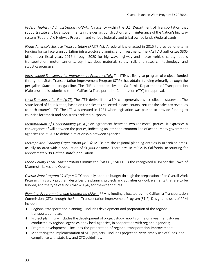*Federal Highway Administration (FHWA):* An agency within the U.S. Department of Transportation that supports state and local governments in the design, construction, and maintenance of the Nation's highway system (Federal Aid Highway Program) and various federally and tribal owned lands (Federal Lands).

*[Fixing America's Surface Transportation \(FAST\) Act:](https://www.fhwa.dot.gov/fastact/legislation.cfm)* A federal law enacted in 2015 to provide long-term funding for surface transportation infrastructure planning and investment. The FAST Act authorizes \$305 billion over fiscal years 2016 through 2020 for highway, highway and motor vehicle safety, public transportation, motor carrier safety, hazardous materials safety, rail, and research, technology, and statistics programs.

*Interregional Transportation Improvement Program (ITIP):* The ITIP is a five-year program of projects funded through the State Transportation Improvement Program (STIP) that obtains funding primarily through the per-gallon State tax on gasoline. The ITIP is prepared by the California Department of Transportation (Caltrans) and is submitted to the California Transportation Commission (CTC) for approval.

*Local Transportation Fund (LTF):* The LTF is derived from a 1/4-cent generalsalestax collected statewide. The State Board of Equalization, based on the sales tax collected in each county, returns the sales tax revenues to each county's LTF. The LTF was created in 1971 when legislation was passed to provide funding to counties for transit and non-transit related purposes.

*Memorandum of Understanding (MOU):* An agreement between two (or more) parties. It expresses a convergence of will between the parties, indicating an intended common line of action. Many government agencies use MOUs to define a relationship between agencies.

*Metropolitan Planning Organization (MPO):* MPOs are the regional planning entities in urbanized areas, usually an area with a population of 50,000 or more. There are 18 MPOs in California, accounting for approximately 98% of the state's population.

*Mono County Local Transportation Commission (MCLTC):* MCLTC is the recognized RTPA for the Town of Mammoth Lakes and County.

*Overall Work Program (OWP):* MCLTC annually adopts a budget through the preparation of an Overall Work Program. This work program describes the planning projects and activities or work elements that are to be funded, and the type of funds that will pay for theexpenditures.

*Planning, Programming, and Monitoring (PPM):* PPM is funding allocated by the [California](http://www.catc.ca.gov/) [Transportation](http://www.catc.ca.gov/) [Commission \(CTC\)](http://www.catc.ca.gov/) through th[e State Transportation Improvement Program](http://www.catc.ca.gov/programs/stip.htm) [\(STIP\). D](http://www.catc.ca.gov/programs/stip.htm)esignated uses of PPM include:

- $\bullet$  Regional transportation planning includes development and preparation of the regional transportation plan;
- $\bullet$  Project planning includes the development of project study reports or major investment studies conducted by regional agencies or by local agencies, in cooperation with regionalagencies;
- ♦ Program development includes the preparation of regional transportation improvement;
- ♦ Monitoring the implementation of STIP projects includes project delivery, timely use of funds, and compliance with state law and CTC guidelines.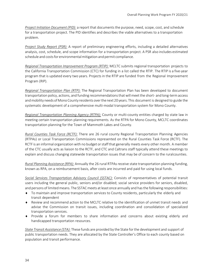*Project Initiation Document (PID):* a report that documents the purpose, need, scope, cost, and schedule for a transportation project. The PID identifies and describes the viable alternatives to a transportation problem.

*Project Study Report (PSR):* A report of preliminary engineering efforts, including a detailed alternatives analysis, cost, schedule, and scope information for a transportation project. A PSR also includes estimated schedule and costs for environmental mitigation and permit compliance.

*Regional Transportation Improvement Program (RTIP):* MCLTC submits regional transportation projects to the California Transportation Commission (CTC) for funding in a list called the RTIP. The RTIP is a five-year program that is updated every two years. Projects in the RTIP are funded from the Regional Improvement Program (RIP).

*Regional Transportation Plan (RTP):* The Regional Transportation Plan has been developed to document transportation policy, actions, and funding recommendationsthatwill meet the short- and long-termaccess andmobility needs ofMono County residents overthe next 20 years. This document is designed to guide the systematic development of a comprehensive multi-modal transportation system for Mono County.

*Regional Transportation Planning Agency (RTPA):* County or multi-county entities charged by state law in meeting certain transportation planning requirements. As the RTPA for Mono County, MCLTC coordinates transportation planning for the Town of Mammoth Lakes and County.

*Rural Counties Task Force (RCTF):* There are 26 rural county Regional Transportation Planning Agencies (RTPAs) or Local Transportation Commissions represented on the Rural Counties Task Force (RCTF). The RCTF is an informal organization with no budget or staffthat generally meets every other month. A member of the CTC usually acts as liaison to the RCTF, and CTC and Caltrans staff typically attend these meetings to explain and discuss changing statewide transportation issues that may be of concern to the rural counties.

*Rural Planning Assistance (RPA):* Annually the 26 rural RTPAs receive state transportation planning funding, known as RPA, on a reimbursement basis, after costs are incurred and paid for using local funds.

*Social Services Transportation Advisory Council (SSTAC):* Consists of representatives of potential transit users including the general public, seniors and/or disabled; social service providers for seniors, disabled, and persons of limited means. The SSTAC meets at least once annually and has the following responsibilities:

- ♦ To maintain and improve transportation services to County residents, particularly the elderly and transit dependent
- ♦ Review and recommend action to the MCLTC relative to the identification of unmet transit needs and advise the Commission on transit issues, including coordination and consolidation of specialized transportation services.
- ♦ Provide a forum for members to share information and concerns about existing elderly and handicapped transportation resources.

*State Transit Assistance (STA):* These funds are provided by the State for the development and support of public transportation needs. They are allocated by the State Controller's Office to each county based on population and transit performance.